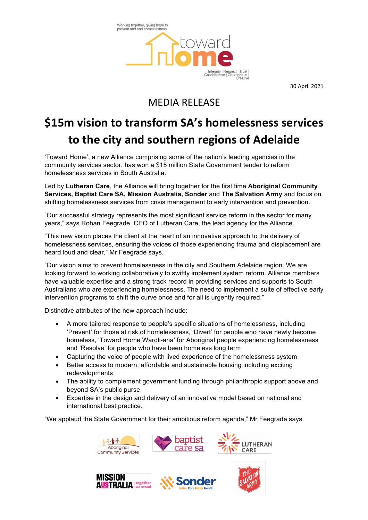Working together, giving hope to<br>prevent and end homelessness Integrity | Respect | Trust<br>Collaborative | Courageous<br>Creative

30 April 2021

## MEDIA RELEASE

## **\$15m vision to transform SA's homelessness services** to the city and southern regions of Adelaide

'Toward Home', a new Alliance comprising some of the nation's leading agencies in the community services sector, has won a \$15 million State Government tender to reform homelessness services in South Australia.

Led by **Lutheran Care**, the Alliance will bring together for the first time **Aboriginal Community Services, Baptist Care SA, Mission Australia, Sonder** and **The Salvation Army** and focus on shifting homelessness services from crisis management to early intervention and prevention.

"Our successful strategy represents the most significant service reform in the sector for many years," says Rohan Feegrade, CEO of Lutheran Care, the lead agency for the Alliance.

"This new vision places the client at the heart of an innovative approach to the delivery of homelessness services, ensuring the voices of those experiencing trauma and displacement are heard loud and clear," Mr Feegrade says.

"Our vision aims to prevent homelessness in the city and Southern Adelaide region. We are looking forward to working collaboratively to swiftly implement system reform. Alliance members have valuable expertise and a strong track record in providing services and supports to South Australians who are experiencing homelessness. The need to implement a suite of effective early intervention programs to shift the curve once and for all is urgently required."

Distinctive attributes of the new approach include:

- A more tailored response to people's specific situations of homelessness, including 'Prevent' for those at risk of homelessness, 'Divert' for people who have newly become homeless, 'Toward Home Wardli-ana' for Aboriginal people experiencing homelessness and 'Resolve' for people who have been homeless long term
- Capturing the voice of people with lived experience of the homelessness system
- Better access to modern, affordable and sustainable housing including exciting redevelopments
- The ability to complement government funding through philanthropic support above and beyond SA's public purse
- Expertise in the design and delivery of an innovative model based on national and international best practice.

"We applaud the State Government for their ambitious reform agenda," Mr Feegrade says.